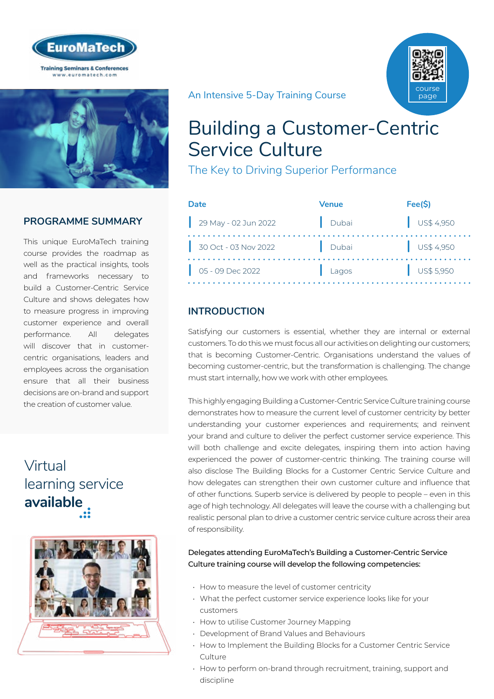



# **PROGRAMME SUMMARY**

This unique EuroMaTech training course provides the roadmap as well as the practical insights, tools and frameworks necessary to build a Customer-Centric Service Culture and shows delegates how to measure progress in improving customer experience and overall performance. All delegates will discover that in customercentric organisations, leaders and employees across the organisation ensure that all their business decisions are on-brand and support the creation of customer value.

# Virtual [learning service](https://www.euromatech.com/seminars/building-a-customer-centric-service-culture/)  **available**



An Intensive 5-Day Training Course

# Building a Customer-Centric Service Culture

The Key to Driving Superior Performance

| Date                           | <b>Venue</b> | Fee(S)                   |
|--------------------------------|--------------|--------------------------|
| $29$ May - 02 Jun 2022         | Dubai        | $\frac{1}{2}$ US\$ 4,950 |
| 30 Oct - 03 Nov 2022           | Dubai        | $\bigcup$ US\$ 4,950     |
| $\bigcup_{1}$ 05 - 09 Dec 2022 | Lagos        | $\bigcup$ US\$ 5,950     |

# **INTRODUCTION**

Satisfying our customers is essential, whether they are internal or external customers. To do this we must focus all our activities on delighting our customers; that is becoming Customer-Centric. Organisations understand the values of becoming customer-centric, but the transformation is challenging. The change must start internally, how we work with other employees.

This highly engaging Building a Customer-Centric Service Culture training course demonstrates how to measure the current level of customer centricity by better understanding your customer experiences and requirements; and reinvent your brand and culture to deliver the perfect customer service experience. This will both challenge and excite delegates, inspiring them into action having experienced the power of customer-centric thinking. The training course will also disclose The Building Blocks for a Customer Centric Service Culture and how delegates can strengthen their own customer culture and influence that of other functions. Superb service is delivered by people to people – even in this age of high technology. All delegates will leave the course with a challenging but realistic personal plan to drive a customer centric service culture across their area of responsibility.

#### Delegates attending EuroMaTech's Building a Customer-Centric Service Culture training course will develop the following competencies:

- How to measure the level of customer centricity
- What the perfect customer service experience looks like for your customers
- How to utilise Customer Journey Mapping
- Development of Brand Values and Behaviours
- How to Implement the Building Blocks for a Customer Centric Service Culture
- How to perform on-brand through recruitment, training, support and discipline

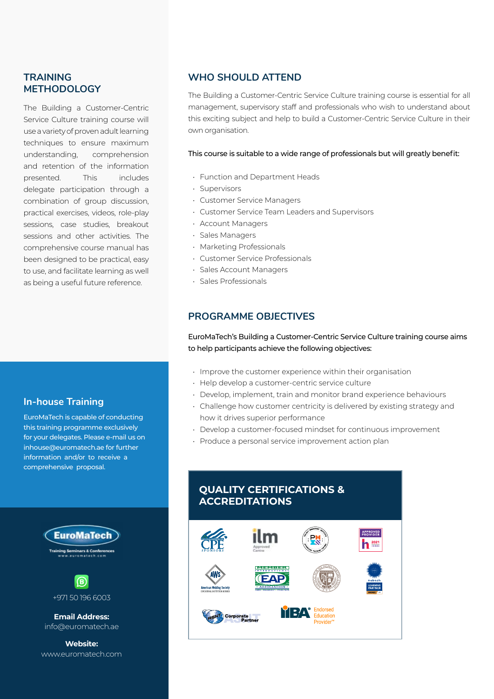## **TRAINING METHODOLOGY**

The Building a Customer-Centric Service Culture training course will use a variety of proven adult learning techniques to ensure maximum understanding, comprehension and retention of the information presented. This includes delegate participation through a combination of group discussion, practical exercises, videos, role-play sessions, case studies, breakout sessions and other activities. The comprehensive course manual has been designed to be practical, easy to use, and facilitate learning as well as being a useful future reference.

## **In-house Training**

EuroMaTech is capable of conducting this training programme exclusively for your delegates. Please e-mail us on inhouse@euromatech.ae for further information and/or to receive a comprehensive proposal.



**Email Address:** info@euromatech.ae

**Website:** www.euromatech.com

### **WHO SHOULD ATTEND**

The Building a Customer-Centric Service Culture training course is essential for all management, supervisory staff and professionals who wish to understand about this exciting subject and help to build a Customer-Centric Service Culture in their own organisation.

#### This course is suitable to a wide range of professionals but will greatly benefit:

- Function and Department Heads
- Supervisors
- Customer Service Managers
- Customer Service Team Leaders and Supervisors
- Account Managers
- Sales Managers
- Marketing Professionals
- Customer Service Professionals
- Sales Account Managers
- Sales Professionals

## **PROGRAMME OBJECTIVES**

EuroMaTech's Building a Customer-Centric Service Culture training course aims to help participants achieve the following objectives:

- Improve the customer experience within their organisation
- Help develop a customer-centric service culture
- Develop, implement, train and monitor brand experience behaviours
- Challenge how customer centricity is delivered by existing strategy and how it drives superior performance
- Develop a customer-focused mindset for continuous improvement
- Produce a personal service improvement action plan

## **QUALITY CERTIFICATIONS & ACCREDITATIONS**

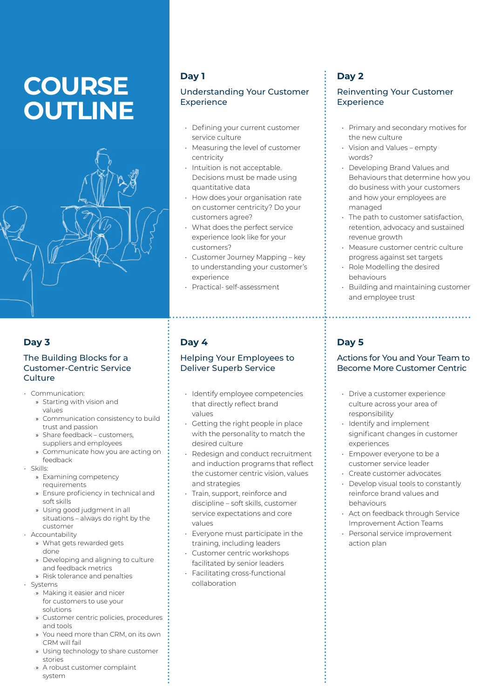# **COURSE OUTLINE**



## **Day 3**

#### The Building Blocks for a Customer-Centric Service **Culture**

- Communication:
	- » Starting with vision and values
	- » Communication consistency to build trust and passion
	- » Share feedback customers, suppliers and employees
	- » Communicate how you are acting on feedback
- Skills:
	- » Examining competency requirements
	- » Ensure proficiency in technical and soft skills
	- » Using good judgment in all situations – always do right by the customer
- Accountability
	- » What gets rewarded gets
	- done
	- » Developing and aligning to culture and feedback metrics
	- » Risk tolerance and penalties
- Systems
	- » Making it easier and nicer for customers to use your solutions
	- » Customer centric policies, procedures and tools
	- » You need more than CRM, on its own CRM will fail
	- » Using technology to share customer stories
	- » A robust customer complaint system

# **Day 1**

#### Understanding Your Customer **Experience**

- Defining your current customer service culture
- Measuring the level of customer centricity
- Intuition is not acceptable. Decisions must be made using quantitative data
- How does your organisation rate on customer centricity? Do your customers agree?
- What does the perfect service experience look like for your customers?
- Customer Journey Mapping key to understanding your customer's experience
- Practical- self-assessment

# **Day 4**

#### Helping Your Employees to Deliver Superb Service

- Identify employee competencies that directly reflect brand values
- Getting the right people in place with the personality to match the desired culture
- Redesign and conduct recruitment and induction programs that reflect the customer centric vision, values and strategies
- Train, support, reinforce and discipline – soft skills, customer service expectations and core values
- Everyone must participate in the training, including leaders
- Customer centric workshops facilitated by senior leaders
- Facilitating cross-functional collaboration

# **Day 2**

#### Reinventing Your Customer **Experience**

- Primary and secondary motives for the new culture
- Vision and Values empty words?
- Developing Brand Values and Behaviours that determine how you do business with your customers and how your employees are managed
- The path to customer satisfaction, retention, advocacy and sustained revenue growth
- Measure customer centric culture progress against set targets
- Role Modelling the desired behaviours
- Building and maintaining customer and employee trust

# **Day 5**

#### Actions for You and Your Team to Become More Customer Centric

- Drive a customer experience culture across your area of responsibility
- Identify and implement significant changes in customer experiences
- Empower everyone to be a customer service leader
- Create customer advocates
- Develop visual tools to constantly reinforce brand values and behaviours
- Act on feedback through Service Improvement Action Teams
- Personal service improvement action plan